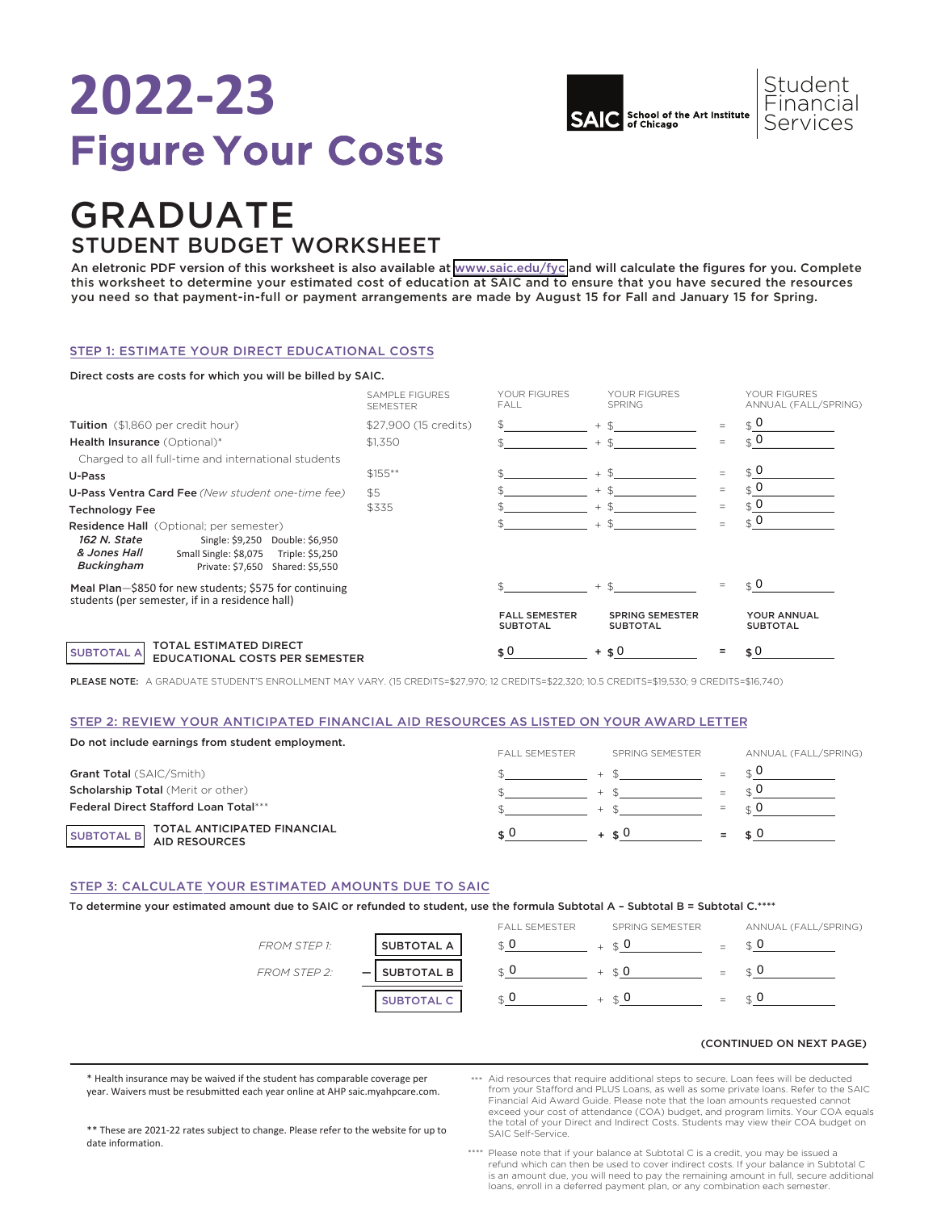# **2022-23** Figure Your Costs



### GRADUATE STUDENT BUDGET WORKSHEET

An eletronic PDF version of this worksheet is also available at [www.saic.edu/fyc](https://www.saic.edu/tuition/figure-your-costs) and will calculate the figures for you. Complete this worksheet to determine your estimated cost of education at SAIC and to ensure that you have secured the resources you need so that payment-in-full or payment arrangements are made by August 15 for Fall and January 15 for Spring.

#### STEP 1: ESTIMATE YOUR DIRECT EDUCATIONAL COSTS

#### Direct costs are costs for which you will be billed by SAIC.

|                                                                                                                                                                                                                 | <b>SAMPLE FIGURES</b><br><b>SEMESTER</b> | YOUR FIGURES<br>FALL                    | YOUR FIGURES<br><b>SPRING</b>             |          | YOUR FIGURES<br>ANNUAL (FALL/SPRING)  |
|-----------------------------------------------------------------------------------------------------------------------------------------------------------------------------------------------------------------|------------------------------------------|-----------------------------------------|-------------------------------------------|----------|---------------------------------------|
| Tuition (\$1,860 per credit hour)                                                                                                                                                                               | \$27,900 (15 credits)                    |                                         | $+$ \$                                    |          | $\hat{S}$ 0                           |
| Health Insurance (Optional)*                                                                                                                                                                                    | \$1.350                                  |                                         | $+$ \$                                    | $\equiv$ | $\hat{S}$ 0                           |
| Charged to all full-time and international students                                                                                                                                                             |                                          |                                         |                                           |          |                                       |
| U-Pass                                                                                                                                                                                                          | $$155***$                                |                                         | $+$ \$                                    | $=$      | $\hat{S}$ 0                           |
| <b>U-Pass Ventra Card Fee</b> (New student one-time fee)                                                                                                                                                        | \$5                                      |                                         | $+$ \$                                    | $=$      |                                       |
| <b>Technology Fee</b>                                                                                                                                                                                           | \$335                                    |                                         | $+$ \$                                    | $=$      | $\in \mathbf{0}$                      |
| <b>Residence Hall</b> (Optional; per semester)<br>162 N. State<br>Single: \$9,250 Double: \$6,950<br>& Jones Hall<br>Small Single: \$8,075<br>Triple: \$5,250<br>Buckingham<br>Private: \$7,650 Shared: \$5,550 |                                          |                                         | $+$ \$                                    |          | $\hat{S}$ 0                           |
| Meal Plan-\$850 for new students; \$575 for continuing<br>students (per semester, if in a residence hall)                                                                                                       |                                          |                                         | $+$ \$                                    |          | $\in \Omega$                          |
|                                                                                                                                                                                                                 |                                          | <b>FALL SEMESTER</b><br><b>SUBTOTAL</b> | <b>SPRING SEMESTER</b><br><b>SUBTOTAL</b> |          | <b>YOUR ANNUAL</b><br><b>SUBTOTAL</b> |
| <b>TOTAL ESTIMATED DIRECT</b><br><b>SUBTOTAL A</b><br><b>EDUCATIONAL COSTS PER SEMESTER</b>                                                                                                                     |                                          | \$0                                     | $+$ \$0                                   |          | \$0                                   |

PLEASE NOTE: A GRADUATE STUDENT'S ENROLLMENT MAY VARY. (15 CREDITS=\$27,970; 12 CREDITS=\$22,320; 10.5 CREDITS=\$19,530; 9 CREDITS=\$16,740)

#### STEP 2: REVIEW YOUR ANTICIPATED FINANCIAL AID RESOURCES AS LISTED ON YOUR AWARD LETTER

| Do not include earnings from student employment.                  | <b>FALL SEMESTER</b> | SPRING SEMESTER | ANNUAL (FALL/SPRING) |
|-------------------------------------------------------------------|----------------------|-----------------|----------------------|
| <b>Grant Total (SAIC/Smith)</b>                                   |                      |                 |                      |
| <b>Scholarship Total (Merit or other)</b>                         |                      |                 |                      |
| Federal Direct Stafford Loan Total***                             |                      |                 |                      |
| TOTAL ANTICIPATED FINANCIAL<br>AID RESOURCES<br><b>SUBTOTAL B</b> |                      | $+$ $\leq 0$    |                      |

#### STEP 3: CALCULATE YOUR ESTIMATED AMOUNTS DUE TO SAIC

#### To determine your estimated amount due to SAIC or refunded to student, use the formula Subtotal A – Subtotal B = Subtotal C.\*\*\*\*

|                     |                             | <b>FALL SEMESTER</b> | SPRING SEMESTER | ANNUAL (FALL/SPRING) |
|---------------------|-----------------------------|----------------------|-----------------|----------------------|
| <b>FROM STEP 1:</b> | <b>SUBTOTAL A</b>           |                      | ∣ ⊄ U           |                      |
| <b>FROM STEP 2:</b> | <b>SUBTOTAL B</b><br>$\sim$ |                      |                 |                      |
|                     | <b>SUBTOTAL C</b>           |                      | ⊂t U            |                      |

#### (CONTINUED ON NEXT PAGE)

\* Health insurance may be waived if the student has comparable coverage per year. Waivers must be resubmitted each year online at AHP saic.myahpcare.com. Aid resources that require additional steps to secure. Loan fees will be deducted \*\*\* from your Stafford and PLUS Loans, as well as some private loans. Refer to the SAIC Financial Aid Award Guide. Please note that the loan amounts requested cannot exceed your cost of attendance (COA) budget, and program limits. Your COA equals the total of your Direct and Indirect Costs. Students may view their COA budget on SAIC Self-Service.

\*\* These are 2021-22 rates subject to change. Please refer to the website for up to date information.

Please note that if your balance at Subtotal C is a credit, you may be issued a refund which can then be used to cover indirect costs. If your balance in Subtotal C \*\*\*\* is an amount due, you will need to pay the remaining amount in full, secure additional loans, enroll in a deferred payment plan, or any combination each semester.